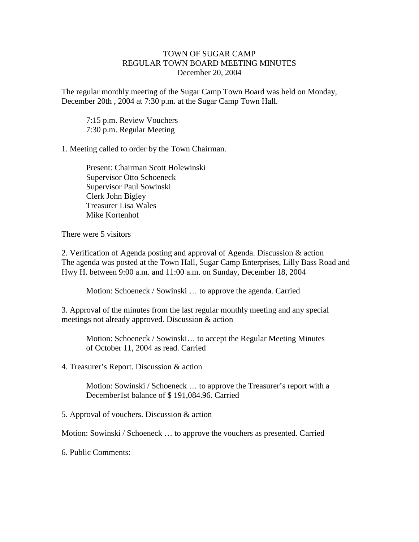## TOWN OF SUGAR CAMP REGULAR TOWN BOARD MEETING MINUTES December 20, 2004

The regular monthly meeting of the Sugar Camp Town Board was held on Monday, December 20th , 2004 at 7:30 p.m. at the Sugar Camp Town Hall.

7:15 p.m. Review Vouchers 7:30 p.m. Regular Meeting

1. Meeting called to order by the Town Chairman.

Present: Chairman Scott Holewinski Supervisor Otto Schoeneck Supervisor Paul Sowinski Clerk John Bigley Treasurer Lisa Wales Mike Kortenhof

There were 5 visitors

2. Verification of Agenda posting and approval of Agenda. Discussion & action The agenda was posted at the Town Hall, Sugar Camp Enterprises, Lilly Bass Road and Hwy H. between 9:00 a.m. and 11:00 a.m. on Sunday, December 18, 2004

Motion: Schoeneck / Sowinski … to approve the agenda. Carried

3. Approval of the minutes from the last regular monthly meeting and any special meetings not already approved. Discussion & action

Motion: Schoeneck / Sowinski… to accept the Regular Meeting Minutes of October 11, 2004 as read. Carried

4. Treasurer's Report. Discussion & action

Motion: Sowinski / Schoeneck … to approve the Treasurer's report with a December1st balance of \$ 191,084.96. Carried

5. Approval of vouchers. Discussion & action

Motion: Sowinski / Schoeneck … to approve the vouchers as presented. Carried

6. Public Comments: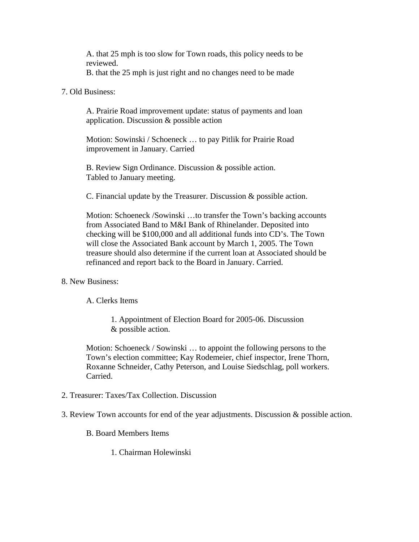A. that 25 mph is too slow for Town roads, this policy needs to be reviewed.

B. that the 25 mph is just right and no changes need to be made

## 7. Old Business:

A. Prairie Road improvement update: status of payments and loan application. Discussion & possible action

Motion: Sowinski / Schoeneck … to pay Pitlik for Prairie Road improvement in January. Carried

B. Review Sign Ordinance. Discussion & possible action. Tabled to January meeting.

C. Financial update by the Treasurer. Discussion & possible action.

Motion: Schoeneck /Sowinski …to transfer the Town's backing accounts from Associated Band to M&I Bank of Rhinelander. Deposited into checking will be \$100,000 and all additional funds into CD's. The Town will close the Associated Bank account by March 1, 2005. The Town treasure should also determine if the current loan at Associated should be refinanced and report back to the Board in January. Carried.

## 8. New Business:

A. Clerks Items

1. Appointment of Election Board for 2005-06. Discussion & possible action.

Motion: Schoeneck / Sowinski … to appoint the following persons to the Town's election committee; Kay Rodemeier, chief inspector, Irene Thorn, Roxanne Schneider, Cathy Peterson, and Louise Siedschlag, poll workers. Carried.

- 2. Treasurer: Taxes/Tax Collection. Discussion
- 3. Review Town accounts for end of the year adjustments. Discussion & possible action.

B. Board Members Items

1. Chairman Holewinski